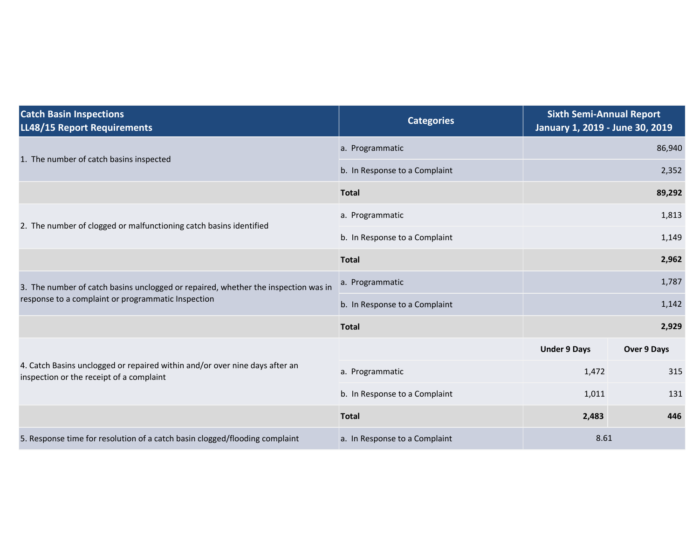| <b>Catch Basin Inspections</b><br>LL48/15 Report Requirements                                                           | <b>Categories</b>             | <b>Sixth Semi-Annual Report</b><br>January 1, 2019 - June 30, 2019 |             |
|-------------------------------------------------------------------------------------------------------------------------|-------------------------------|--------------------------------------------------------------------|-------------|
| 1. The number of catch basins inspected                                                                                 | a. Programmatic               | 86,940                                                             |             |
|                                                                                                                         | b. In Response to a Complaint | 2,352                                                              |             |
|                                                                                                                         | <b>Total</b>                  |                                                                    | 89,292      |
| 2. The number of clogged or malfunctioning catch basins identified                                                      | a. Programmatic               | 1,813                                                              |             |
|                                                                                                                         | b. In Response to a Complaint | 1,149                                                              |             |
|                                                                                                                         | <b>Total</b>                  |                                                                    | 2,962       |
| 3. The number of catch basins unclogged or repaired, whether the inspection was in                                      | a. Programmatic               | 1,787                                                              |             |
| response to a complaint or programmatic Inspection                                                                      | b. In Response to a Complaint |                                                                    | 1,142       |
|                                                                                                                         | <b>Total</b>                  |                                                                    | 2,929       |
|                                                                                                                         |                               | <b>Under 9 Days</b>                                                | Over 9 Days |
| 4. Catch Basins unclogged or repaired within and/or over nine days after an<br>inspection or the receipt of a complaint | a. Programmatic               | 1,472                                                              | 315         |
|                                                                                                                         | b. In Response to a Complaint | 1,011                                                              | 131         |
|                                                                                                                         | <b>Total</b>                  | 2,483                                                              | 446         |
| 5. Response time for resolution of a catch basin clogged/flooding complaint                                             | a. In Response to a Complaint | 8.61                                                               |             |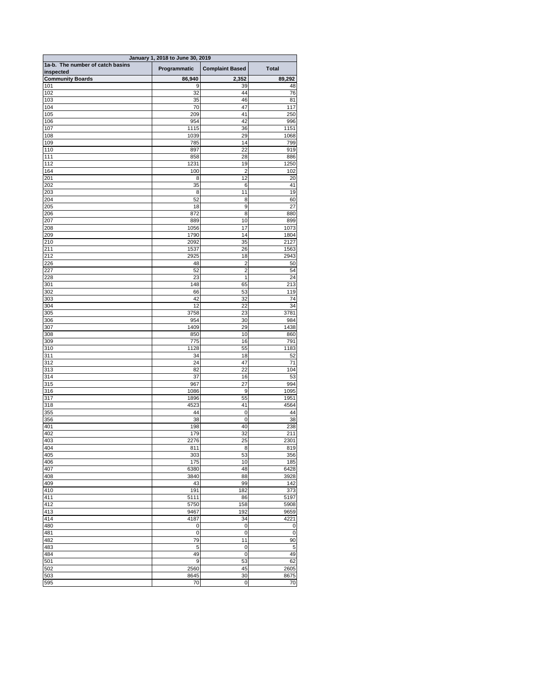| January 1, 2018 to June 30, 2019     |                   |                                |                        |  |
|--------------------------------------|-------------------|--------------------------------|------------------------|--|
| 1a-b. The number of catch basins     | Programmatic      | <b>Complaint Based</b>         | <b>Total</b>           |  |
| inspected<br><b>Community Boards</b> | 86,940            | 2,352                          | 89,292                 |  |
| 101                                  | 9                 | 39                             | 48                     |  |
| 102                                  | 32                | 44                             | 76                     |  |
| 103<br>104                           | 35<br>70          | 46<br>47                       | 81<br>117              |  |
| 105                                  | 209               | 41                             | 250                    |  |
| 106                                  | 954               | 42                             | 996                    |  |
| 107                                  | 1115              | 36                             | 1151                   |  |
| 108                                  | 1039              | 29                             | 1068                   |  |
| 109<br>110                           | 785<br>897        | 14<br>22                       | 799<br>919             |  |
| 111                                  | 858               | 28                             | 886                    |  |
| 112                                  | 1231              | 19                             | 1250                   |  |
| 164                                  | 100               | $\overline{2}$                 | 102                    |  |
| 201                                  | 8                 | 12                             | 20                     |  |
| 202<br>203                           | 35<br>8           | 6<br>11                        | 41<br>19               |  |
| 204                                  | 52                | 8                              | 60                     |  |
| 205                                  | 18                | $\boldsymbol{9}$               | 27                     |  |
| 206                                  | 872               | 8                              | 880                    |  |
| 207                                  | 889               | 10                             | 899                    |  |
| 208<br>209                           | 1056<br>1790      | 17<br>14                       | 1073<br>1804           |  |
| 210                                  | 2092              | 35                             | 2127                   |  |
| 211                                  | 1537              | 26                             | 1563                   |  |
| 212                                  | 2925              | 18                             | 2943                   |  |
| 226                                  | 48                | $\overline{2}$                 | 50                     |  |
| 227<br>228                           | 52<br>23          | $\overline{c}$<br>$\mathbf{1}$ | 54<br>24               |  |
| 301                                  | 148               | 65                             | 213                    |  |
| 302                                  | 66                | 53                             | 119                    |  |
| 303                                  | 42                | 32                             | 74                     |  |
| 304                                  | 12                | 22                             | 34                     |  |
| 305<br>306                           | 3758<br>954       | 23<br>30                       | 3781<br>984            |  |
| 307                                  | 1409              | 29                             | 1438                   |  |
| 308                                  | 850               | 10                             | 860                    |  |
| 309                                  | 775               | 16                             | 791                    |  |
| 310                                  | 1128              | 55                             | 1183                   |  |
| 311<br>312                           | 34<br>24          | 18<br>47                       | 52<br>71               |  |
| 313                                  | 82                | 22                             | 104                    |  |
| 314                                  | 37                | 16                             | 53                     |  |
| 315                                  | 967               | 27                             | 994                    |  |
| 316                                  | 1086              | 9                              | 1095                   |  |
| 317<br>318                           | 1896<br>4523      | 55<br>41                       | 1951<br>4564           |  |
| 355                                  | 44                | $\mathbf 0$                    | 44                     |  |
| 356                                  | 38                | 0                              | 38                     |  |
| 401                                  | 198               | 40                             | 238                    |  |
| 402<br>403                           | 179<br>2276       | 32<br>25                       | 211<br>2301            |  |
| 404                                  | 811               | 8                              | 819                    |  |
| 405                                  | 303               | 53                             | 356                    |  |
| 406                                  | 175               | 10                             | 185                    |  |
| 407                                  | 6380              | 48                             | 6428                   |  |
| 408<br>409                           | 3840<br>43        | 88<br>99                       | 3928<br>142            |  |
| 410                                  | 191               | 182                            | 373                    |  |
| 411                                  | 5111              | 86                             | 5197                   |  |
| 412                                  | 5750              | 158                            | 5908                   |  |
| 413                                  | 9467              | 192                            | 9659                   |  |
| 414<br>480                           | 4187<br>$\pmb{0}$ | 34<br>$\,0\,$                  | 4221<br>$\overline{0}$ |  |
| 481                                  | $\mathbf 0$       | 0                              | $\pmb{0}$              |  |
| 482                                  | 79                | 11                             | 90                     |  |
| 483                                  | 5                 | $\mathbf 0$                    | 5                      |  |
| 484                                  | 49                | $\boldsymbol{0}$               | 49                     |  |
| 501<br>502                           | 9<br>2560         | 53<br>45                       | 62<br>2605             |  |
| 503                                  | 8645              | 30                             | 8675                   |  |
| 595                                  | 70                | $\mathbf 0$                    | 70                     |  |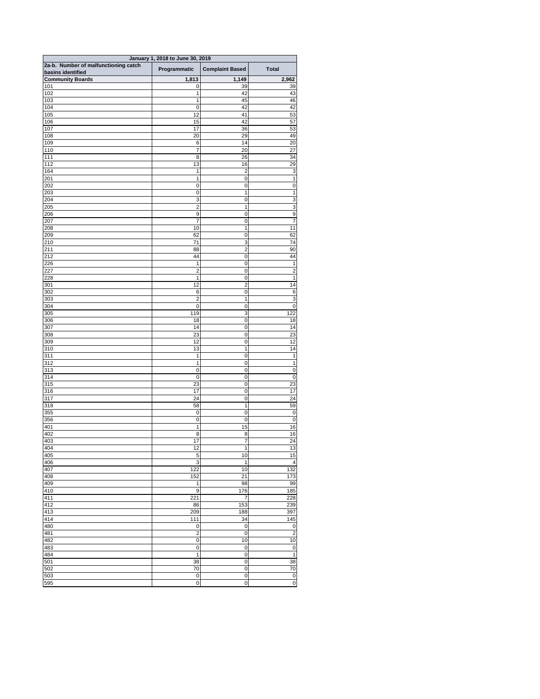| January 1, 2018 to June 30, 2019                          |                                      |                            |                          |  |
|-----------------------------------------------------------|--------------------------------------|----------------------------|--------------------------|--|
| 2a-b. Number of malfunctioning catch<br>basins identified | Programmatic                         | <b>Complaint Based</b>     | <b>Total</b>             |  |
| <b>Community Boards</b>                                   | 1,813                                | 1,149                      | 2,962                    |  |
| 101                                                       | $\mathbf 0$                          | 39                         | 39                       |  |
| 102                                                       | 1                                    | 42                         | 43                       |  |
| 103<br>104                                                | 1                                    | 45<br>42                   | 46<br>42                 |  |
| 105                                                       | $\mathbf 0$<br>12                    | 41                         | 53                       |  |
| 106                                                       | 15                                   | 42                         | 57                       |  |
| 107                                                       | 17                                   | 36                         | 53                       |  |
| 108                                                       | 20                                   | 29                         | 49                       |  |
| 109                                                       | $\,6$<br>$\overline{7}$              | 14                         | 20                       |  |
| 110<br>$\frac{111}{111}$                                  | 8                                    | 20<br>26                   | 27<br>34                 |  |
| 112                                                       | 13                                   | 16                         | 29                       |  |
| 164                                                       | 1                                    | $\overline{2}$             | 3                        |  |
| 201                                                       | 1                                    | $\mathbf 0$                | 1                        |  |
| 202                                                       | 0                                    | $\mathbf 0$                | $\mathbf 0$              |  |
| 203<br>204                                                | $\mathbf 0$<br>3                     | 1<br>$\mathbf 0$           | 1<br>3                   |  |
| 205                                                       | $\overline{\mathbf{c}}$              | 1                          | 3                        |  |
| 206                                                       | $\boldsymbol{9}$                     | 0                          | $\boldsymbol{9}$         |  |
| 207                                                       | 7                                    | 0                          | 7                        |  |
| 208                                                       | 10                                   | 1                          | 11                       |  |
| 209<br>210                                                | 62<br>71                             | 0<br>3                     | 62<br>74                 |  |
| 211                                                       | 88                                   | $\overline{2}$             | 90                       |  |
| 212                                                       | 44                                   | $\mathbf 0$                | 44                       |  |
| 226                                                       | 1                                    | $\mathbf 0$                | 1                        |  |
| 227                                                       | $\overline{c}$                       | $\mathbf 0$                | $\overline{c}$           |  |
| 228                                                       | 1                                    | 0                          | 1                        |  |
| 301<br>302                                                | 12<br>6                              | $\overline{2}$<br>0        | 14<br>6                  |  |
| 303                                                       | $\overline{2}$                       | 1                          | $\overline{3}$           |  |
| 304                                                       | $\mathbf 0$                          | $\mathbf 0$                | $\mathbf 0$              |  |
| 305                                                       | 119                                  | 3                          | 122                      |  |
| 306<br>307                                                | 18<br>14                             | $\mathbf 0$<br>$\mathbf 0$ | 18<br>14                 |  |
| 308                                                       | 23                                   | $\mathbf 0$                | 23                       |  |
| 309                                                       | 12                                   | 0                          | 12                       |  |
| 310                                                       | 13                                   | 1                          | 14                       |  |
| 311                                                       | 1                                    | $\mathbf 0$                | 1                        |  |
| 312<br>313                                                | 1<br>$\boldsymbol{0}$                | $\mathbf 0$<br>$\mathbf 0$ | 1<br>$\pmb{0}$           |  |
| 314                                                       | $\boldsymbol{0}$                     | $\mathbf 0$                | $\pmb{0}$                |  |
| 315                                                       | 23                                   | $\mathbf 0$                | 23                       |  |
| 316                                                       | 17                                   | $\mathbf 0$                | 17                       |  |
| 317                                                       | 24                                   | 0                          | 24                       |  |
| 318                                                       | 58                                   | 1                          | 59                       |  |
| 355<br>356                                                | $\boldsymbol{0}$<br>$\boldsymbol{0}$ | $\mathbf 0$<br>$\mathbf 0$ | $\mathbf 0$<br>$\pmb{0}$ |  |
| 401                                                       | 1                                    | 15                         | 16                       |  |
| 402                                                       | 8                                    | 8                          | 16                       |  |
| 403                                                       | 17                                   | 7                          | 24                       |  |
| 404                                                       | 12                                   | 1                          | 13                       |  |
| 405<br>406                                                | 5<br>3                               | 10<br>1                    | 15<br>4                  |  |
| 407                                                       | 122                                  | 10                         | 132                      |  |
| 408                                                       | 152                                  | $\overline{21}$            | 173                      |  |
| 409                                                       | 1                                    | 98                         | 99                       |  |
| 410                                                       | $\boldsymbol{9}$                     | 176                        | 185                      |  |
| 411<br>412                                                | 221<br>86                            | 7<br>153                   | 228<br>239               |  |
| 413                                                       | 209                                  | 188                        | 397                      |  |
| 414                                                       | 111                                  | 34                         | 145                      |  |
| 480                                                       | $\pmb{0}$                            | $\overline{0}$             | $\pmb{0}$                |  |
| 481                                                       | $\boldsymbol{2}$                     | $\mathbf 0$                | $\overline{c}$           |  |
| 482<br>483                                                | $\mathbf 0$<br>$\mathbf 0$           | 10<br>$\mathbf 0$          | 10<br>$\mathbf 0$        |  |
| 484                                                       | 1                                    | $\mathbf 0$                | 1                        |  |
| 501                                                       | 38                                   | $\mathbf 0$                | $\overline{38}$          |  |
| 502                                                       | 70                                   | $\mathbf 0$                | 70                       |  |
| 503                                                       | $\mathbf 0$                          | $\mathbf 0$                | $\boldsymbol{0}$         |  |
| 595                                                       | $\mathbf 0$                          | $\mathsf{O}\xspace$        | $\mathbf 0$              |  |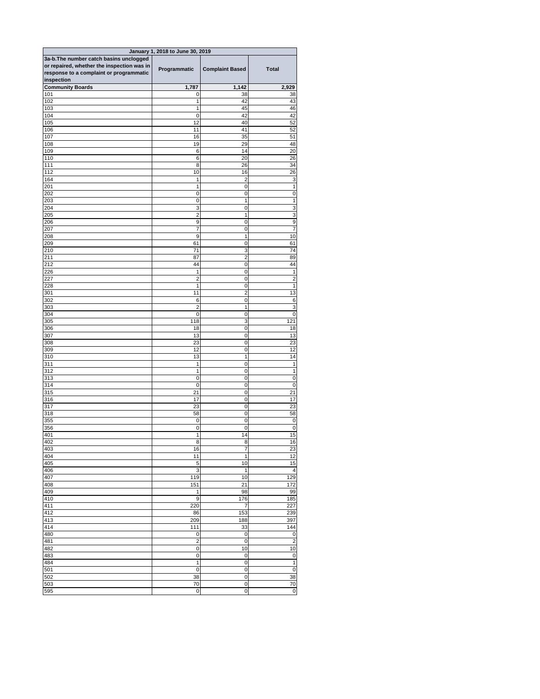| January 1, 2018 to June 30, 2019           |                  |                           |                                  |  |
|--------------------------------------------|------------------|---------------------------|----------------------------------|--|
| 3a-b. The number catch basins unclogged    |                  |                           |                                  |  |
| or repaired, whether the inspection was in |                  |                           | <b>Total</b>                     |  |
| response to a complaint or programmatic    | Programmatic     | <b>Complaint Based</b>    |                                  |  |
| inspection                                 |                  |                           |                                  |  |
| <b>Community Boards</b>                    | 1,787            | 1,142                     | 2,929                            |  |
| 101                                        | 0                | 38                        | 38                               |  |
| 102                                        | 1                | 42                        | 43                               |  |
| 103                                        | 1                | 45                        | 46                               |  |
| 104                                        | $\mathbf 0$      | 42                        | 42                               |  |
| 105                                        | $\overline{12}$  | 40                        | 52                               |  |
| 106<br>107                                 | 11<br>16         | 41<br>35                  | 52<br>51                         |  |
| 108                                        | 19               | 29                        | 48                               |  |
| 109                                        | 6                | 14                        | 20                               |  |
| 110                                        | 6                | 20                        | 26                               |  |
| 111                                        | 8                | 26                        | 34                               |  |
| 112                                        | 10               | 16                        | 26                               |  |
| 164                                        | 1                | $\overline{2}$            | 3                                |  |
| 201                                        | 1                | $\mathsf 0$               |                                  |  |
| 202                                        | $\mathbf 0$      | $\boldsymbol{0}$          | 0                                |  |
| 203                                        | 0                | $\mathbf{1}$              | 1                                |  |
| 204                                        | 3                | 0                         | $\ensuremath{\mathsf{3}}$        |  |
| 205                                        | $\overline{2}$   | 1                         | $\mathbf{3}$                     |  |
| 206                                        | $\boldsymbol{9}$ | 0                         | $\boldsymbol{9}$                 |  |
| 207                                        | $\overline{7}$   | $\mathbf 0$               | $\overline{7}$                   |  |
| 208                                        | $9$              | 1                         | 10                               |  |
| 209                                        | 61               | $\boldsymbol{0}$          | 61                               |  |
| 210<br>$\overline{211}$                    | 71<br>87         | 3<br>$\overline{2}$       | 74<br>89                         |  |
| 212                                        | 44               | $\mathsf 0$               | 44                               |  |
| 226                                        | 1                | $\boldsymbol{0}$          | 1                                |  |
| 227                                        | $\overline{2}$   | $\mathsf 0$               | $\overline{c}$                   |  |
| 228                                        | $\mathbf{1}$     | $\pmb{0}$                 | $\vert$                          |  |
| 301                                        | 11               | $\overline{2}$            | 13                               |  |
| 302                                        | $\,6$            | $\mathbf 0$               | $6 \mid$                         |  |
| 303                                        | $\overline{2}$   | 1                         | $\overline{3}$                   |  |
| 304                                        | $\mathbf 0$      | 0                         | $\overline{0}$                   |  |
| 305                                        | 118              | $\ensuremath{\mathsf{3}}$ | 121                              |  |
| 306                                        | 18               | 0                         | 18                               |  |
| 307                                        | 13               | 0                         | $\overline{13}$                  |  |
| 308                                        | 23               | 0                         | 23                               |  |
| 309                                        | 12               | 0                         | 12                               |  |
| 310                                        | 13               | 1                         | 14                               |  |
| 311                                        | 1                | 0                         | 1                                |  |
| 312                                        | 1                | 0                         | 1                                |  |
| 313<br>314                                 | $\mathbf 0$      | $\mathbf 0$               | $\overline{0}$<br>$\overline{0}$ |  |
| 315                                        | 0<br>21          | 0<br>$\mathbf 0$          | 21                               |  |
| 316                                        | 17               | $\mathbf 0$               | $\overline{17}$                  |  |
| 317                                        | 23               | $\mathbf 0$               | 23                               |  |
| 318                                        | 58               | $\mathbf 0$               | 58                               |  |
| 355                                        | $\boldsymbol{0}$ | 0                         | $\overline{0}$                   |  |
| 356                                        | $\boldsymbol{0}$ | 0                         | $\overline{0}$                   |  |
| 401                                        | 1                | 14                        | 15                               |  |
| 402                                        | 8                | 8                         | 16                               |  |
| 403                                        | 16               | $\overline{7}$            | 23                               |  |
| 404                                        | 11               | 1                         | $\overline{12}$                  |  |
| 405                                        | 5                | 10                        | 15                               |  |
| 406                                        | 3                | 1                         | 4                                |  |
| 407                                        | 119              | 10                        | 129                              |  |
| 408                                        | 151              | 21                        | 172                              |  |
| 409                                        | 1                | 98                        | 99                               |  |
| 410                                        | $9$              | 176                       | 185                              |  |
| 411                                        | 220              | 7                         | 227                              |  |
| 412<br>413                                 | 86<br>209        | 153<br>188                | 239<br>397                       |  |
| 414                                        | 111              | 33                        | $\overline{144}$                 |  |
| 480                                        | $\boldsymbol{0}$ | $\mathbf 0$               | $\overline{0}$                   |  |
| 481                                        | $\overline{2}$   | $\mathbf 0$               | $\mathbf{2}$                     |  |
| 482                                        | $\boldsymbol{0}$ | 10                        | 10                               |  |
| 483                                        | $\boldsymbol{0}$ | 0                         | $\overline{0}$                   |  |
| 484                                        | $\mathbf 1$      | $\mathbf 0$               | 1                                |  |
| 501                                        | $\boldsymbol{0}$ | $\mathbf 0$               | $\overline{0}$                   |  |
| 502                                        | 38               | $\mathbf 0$               | 38                               |  |
| 503                                        | 70               | $\mathbf 0$               | 70                               |  |
| 595                                        | $\mathbf 0$      | $\overline{0}$            | $\overline{0}$                   |  |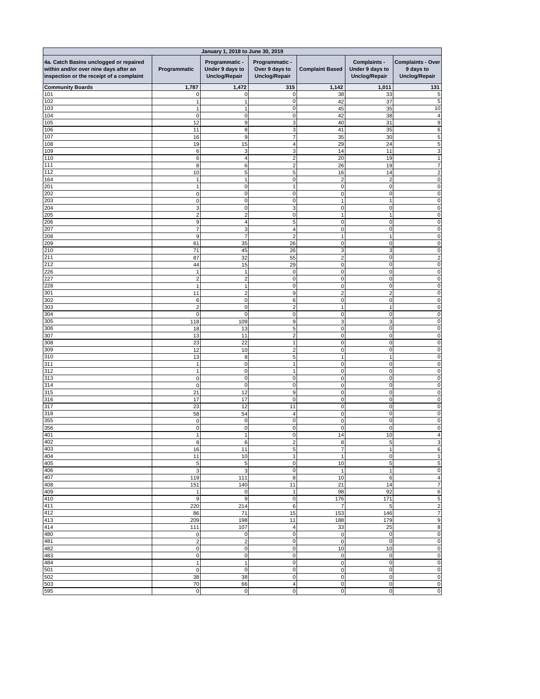| January 1, 2018 to June 30, 2019                                                                                            |                             |                                                           |                                                          |                                  |                                                                |                                                               |
|-----------------------------------------------------------------------------------------------------------------------------|-----------------------------|-----------------------------------------------------------|----------------------------------------------------------|----------------------------------|----------------------------------------------------------------|---------------------------------------------------------------|
| 4a. Catch Basins unclogged or repaired<br>within and/or over nine days after an<br>inspection or the receipt of a complaint | Programmatic                | Programmatic -<br>Under 9 days to<br><b>Unclog/Repair</b> | Programmatic -<br>Over 9 days to<br><b>Unclog/Repair</b> | <b>Complaint Based</b>           | <b>Complaints -</b><br>Under 9 days to<br><b>Unclog/Repair</b> | <b>Complaints - Over</b><br>9 days to<br><b>Unclog/Repair</b> |
| <b>Community Boards</b>                                                                                                     | 1,787                       | 1,472                                                     | 315                                                      | 1,142                            | 1,011                                                          | 131                                                           |
| 101                                                                                                                         | $\overline{0}$              | $\Omega$                                                  | 0                                                        | 38                               | 33                                                             | 5                                                             |
| 102                                                                                                                         |                             |                                                           | $\Omega$                                                 | 42                               | 37                                                             | 5                                                             |
| 103<br>104                                                                                                                  | $\overline{0}$              | 1<br>$\overline{O}$                                       | 0<br>0                                                   | 45<br>42                         | 35<br>38                                                       | 10                                                            |
| 105                                                                                                                         | 12                          | $\boldsymbol{9}$                                          | 3                                                        | 40                               | 31                                                             | ö                                                             |
| 106                                                                                                                         | 11                          | 8                                                         | 3                                                        | 41                               | 35                                                             |                                                               |
| 107                                                                                                                         | 16                          | $\boldsymbol{9}$                                          |                                                          | 35                               | 30                                                             |                                                               |
| 108                                                                                                                         | 19                          | 15                                                        |                                                          | 29                               | 24                                                             |                                                               |
| 109                                                                                                                         | $6 \,$                      | $\mathbf{3}$                                              | 3                                                        | 14                               | 11                                                             | 3                                                             |
| 110                                                                                                                         | $6 \,$                      | 4                                                         | 2                                                        | 20                               | 19                                                             |                                                               |
| 111                                                                                                                         | 8                           | 6                                                         | 2                                                        | 26                               | 19                                                             |                                                               |
| $\overline{112}$                                                                                                            | 10                          | $\overline{5}$                                            | 5                                                        | 16                               | 14                                                             |                                                               |
| 164<br>201                                                                                                                  |                             | 1<br>$\overline{0}$                                       | 0                                                        | $\overline{2}$                   | $\overline{c}$                                                 |                                                               |
| 202                                                                                                                         | 1<br>$\pmb{0}$              | $\overline{0}$                                            | 0                                                        | $\overline{0}$<br>$\overline{0}$ | $\mathbf 0$<br>$\mathbf{0}$                                    |                                                               |
| 203                                                                                                                         | $\overline{0}$              | $\overline{0}$                                            | 0                                                        | 1                                |                                                                |                                                               |
| 204                                                                                                                         | 3                           | $\overline{0}$                                            | 3                                                        | $\Omega$                         | $\Omega$                                                       |                                                               |
| 205                                                                                                                         | $\overline{2}$              | $\overline{2}$                                            | $\Omega$                                                 |                                  |                                                                |                                                               |
| 206                                                                                                                         | $\boldsymbol{9}$            | 4                                                         | 5                                                        | $\mathbf 0$                      | $\Omega$                                                       |                                                               |
| 207                                                                                                                         | $\overline{7}$              | $\overline{3}$                                            |                                                          | 0                                | $\Omega$                                                       |                                                               |
| 208                                                                                                                         | 9                           | $\overline{7}$                                            | $\overline{2}$                                           |                                  |                                                                |                                                               |
| 209                                                                                                                         | 61                          | 35                                                        | 26                                                       | $\mathbf 0$                      | 0                                                              |                                                               |
| 210                                                                                                                         | 71                          | 45                                                        | 26                                                       | 3                                | 3                                                              |                                                               |
| 211<br>212                                                                                                                  | 87                          | 32                                                        | 55                                                       | $\mathbf{2}$                     | $\mathbf 0$                                                    |                                                               |
| 226                                                                                                                         | 44                          | 15                                                        | 29<br> 0                                                 | $\overline{0}$<br>$\overline{0}$ | 0<br>$\mathbf 0$                                               |                                                               |
| 227                                                                                                                         | $\overline{2}$              | $\overline{2}$                                            | $\overline{0}$                                           | $\mathbf 0$                      | $\Omega$                                                       | U                                                             |
| 228                                                                                                                         | 1                           | $1 \vert$                                                 | $\overline{0}$                                           | $\overline{0}$                   | 0                                                              | 0                                                             |
| 301                                                                                                                         | 11                          | $\overline{2}$                                            | 9                                                        | $\overline{2}$                   | $\overline{c}$                                                 | 0                                                             |
| 302                                                                                                                         | $\,6$                       | $\overline{0}$                                            | 6 <sup>1</sup>                                           | $\overline{0}$                   | $\mathbf 0$                                                    | $\Omega$                                                      |
| 303                                                                                                                         | $\overline{2}$              | $\mathbf 0$                                               | $\overline{2}$                                           | 1                                |                                                                | 0                                                             |
| 304                                                                                                                         | $\overline{0}$              | $\overline{0}$                                            | $\overline{0}$                                           | $\mathbf 0$                      | 0                                                              | $\Omega$                                                      |
| 305                                                                                                                         | 118                         | 109                                                       | $\overline{9}$                                           | 3                                | 3                                                              | 0                                                             |
| 306                                                                                                                         | 18                          | 13                                                        | 5 <sub>5</sub>                                           | $\overline{0}$                   | $\mathbf 0$                                                    |                                                               |
| 307                                                                                                                         | 13                          | 11                                                        | $\overline{c}$                                           | $\boldsymbol{0}$                 | $\mathbf 0$                                                    | 0                                                             |
| 308<br>309                                                                                                                  | 23<br>12                    | 22<br>10                                                  | $\overline{\mathbf{c}}$                                  | $\overline{0}$<br>$\overline{0}$ | $\pmb{0}$<br>0                                                 | $\Omega$<br>0                                                 |
| 310                                                                                                                         | 13                          | 8                                                         | 5                                                        | 1                                |                                                                | 0                                                             |
| 311                                                                                                                         | 1                           | $\overline{0}$                                            |                                                          | $\overline{0}$                   | 0                                                              | $\Omega$                                                      |
| 312                                                                                                                         | 1                           | $\overline{0}$                                            |                                                          | $\mathbf 0$                      | $\pmb{0}$                                                      | $\Omega$                                                      |
| 313                                                                                                                         | $\pmb{0}$                   | $\pmb{0}$                                                 | $\overline{0}$                                           | $\mathbf 0$                      | $\mathbf 0$                                                    | 0                                                             |
| 314                                                                                                                         | $\overline{0}$              | $\overline{0}$                                            | 0                                                        | $\overline{0}$                   | $\mathbf 0$                                                    |                                                               |
| 315                                                                                                                         | 21                          | 12                                                        | 9                                                        | $\overline{0}$                   | $\mathbf 0$                                                    | U                                                             |
| 316                                                                                                                         | 17                          | 17                                                        | $\overline{0}$                                           | $\overline{0}$                   | $\mathbf 0$                                                    | 0                                                             |
| 317                                                                                                                         | 23                          | 12                                                        | 11                                                       | $\overline{0}$                   | $\mathbf 0$                                                    | 0                                                             |
| 318<br>355                                                                                                                  | 58                          | 54<br>$\mathbf 0$                                         | 4<br>$\overline{0}$                                      | $\overline{0}$<br>$\overline{0}$ | $\mathbf 0$<br>$\mathbf 0$                                     | 0<br>$\Omega$                                                 |
| 356                                                                                                                         | $\pmb{0}$<br>$\overline{0}$ | $\pmb{0}$                                                 | $\overline{0}$                                           | $\mathbf 0$                      | $\mathbf 0$                                                    | 0                                                             |
| 401                                                                                                                         | 1                           | 1                                                         | $\overline{0}$                                           | 14                               | 10                                                             |                                                               |
| 402                                                                                                                         | 8                           | $\,6$                                                     | $\overline{c}$                                           | 8                                | 5                                                              | 3                                                             |
| 403                                                                                                                         | 16                          | 11                                                        | 5                                                        | $\overline{7}$                   |                                                                | 6                                                             |
| 404                                                                                                                         | 11                          | 10                                                        |                                                          | 1                                | 0                                                              |                                                               |
| 405                                                                                                                         | $\overline{5}$              | $\sqrt{5}$                                                | $\overline{0}$                                           | 10                               | 5                                                              | 5                                                             |
| 406                                                                                                                         | $\mathbf{3}$                | $\overline{3}$                                            | $\overline{0}$                                           | 1                                |                                                                | 0                                                             |
| 407                                                                                                                         | 119                         | 111                                                       | 8                                                        | 10                               | 6                                                              | 4                                                             |
| 408                                                                                                                         | 151                         | 140                                                       | 11                                                       | 21                               | 14<br>92                                                       | $\overline{7}$                                                |
| 409<br>410                                                                                                                  | 1<br>$\boldsymbol{9}$       | $\pmb{0}$<br>$\boldsymbol{9}$                             | 0                                                        | 98<br>176                        | 171                                                            | 6<br>5                                                        |
| 411                                                                                                                         | 220                         | 214                                                       | $\,6$                                                    | $\overline{7}$                   | 5                                                              | $\overline{c}$                                                |
| 412                                                                                                                         | 86                          | 71                                                        | 15                                                       | 153                              | 146                                                            | $\overline{7}$                                                |
| 413                                                                                                                         | 209                         | 198                                                       | 11                                                       | 188                              | 179                                                            | 9                                                             |
| 414                                                                                                                         | 111                         | 107                                                       | 4                                                        | 33                               | 25                                                             | 8                                                             |
| 480                                                                                                                         | $\overline{0}$              | $\overline{0}$                                            | 0                                                        | $\overline{0}$                   | $\pmb{0}$                                                      | $\boldsymbol{0}$                                              |
| 481                                                                                                                         | $\mathbf 2$                 | $\boldsymbol{2}$                                          | $\overline{0}$                                           | $\overline{0}$                   | $\mathbf 0$                                                    | 0                                                             |
| 482                                                                                                                         | $\overline{0}$              | $\overline{0}$                                            | $\overline{0}$                                           | 10                               | 10                                                             | 0                                                             |
| 483                                                                                                                         | $\overline{0}$              | $\overline{0}$                                            | 0                                                        | $\overline{0}$                   | $\pmb{0}$                                                      | $\mathbf 0$                                                   |
| 484<br>501                                                                                                                  | 1                           | $\mathbf{1}$                                              | 0                                                        | $\overline{0}$                   | $\pmb{0}$                                                      | $\mathbf 0$                                                   |
| 502                                                                                                                         | $\overline{0}$<br>38        | $\overline{0}$<br>38                                      | 0 <br> 0                                                 | $\overline{0}$<br>$\overline{0}$ | $\pmb{0}$<br>$\pmb{0}$                                         | 0<br>$\mathbf 0$                                              |
| 503                                                                                                                         | 70                          | 66                                                        | 4                                                        | $\overline{0}$                   | $\pmb{0}$                                                      | $\pmb{0}$                                                     |
| 595                                                                                                                         | $\overline{0}$              | $\overline{0}$                                            | $\overline{0}$                                           | $\overline{0}$                   | $\pmb{0}$                                                      | $\mathbf 0$                                                   |